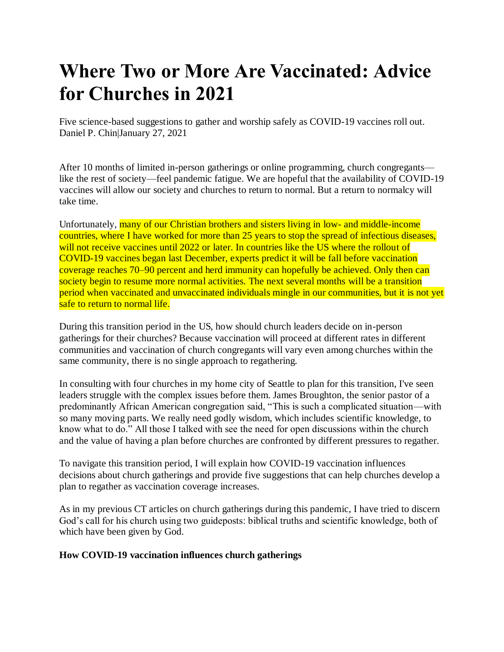# **Where Two or More Are Vaccinated: Advice for Churches in 2021**

Five science-based suggestions to gather and worship safely as COVID-19 vaccines roll out. Daniel P. Chin|January 27, 2021

After 10 months of limited in-person gatherings or online programming, church congregants like the rest of society—feel pandemic fatigue. We are hopeful that the availability of COVID-19 vaccines will allow our society and churches to return to normal. But a return to normalcy will take time.

Unfortunately, many of our Christian brothers and sisters living in low- and middle-income countries, where I have worked for more than 25 years to stop the spread of infectious diseases, will not receive vaccines until 2022 or later. In countries like the US where the rollout of COVID-19 vaccines began last December, experts predict it will be fall before vaccination coverage reaches 70–90 percent and herd immunity can hopefully be achieved. Only then can society begin to resume more normal activities. The next several months will be a transition period when vaccinated and unvaccinated individuals mingle in our communities, but it is not yet safe to return to normal life.

During this transition period in the US, how should church leaders decide on in-person gatherings for their churches? Because vaccination will proceed at different rates in different communities and vaccination of church congregants will vary even among churches within the same community, there is no single approach to regathering.

In consulting with four churches in my home city of Seattle to plan for this transition, I've seen leaders struggle with the complex issues before them. James Broughton, the senior pastor of a predominantly African American congregation said, "This is such a complicated situation—with so many moving parts. We really need godly wisdom, which includes scientific knowledge, to know what to do." All those I talked with see the need for open discussions within the church and the value of having a plan before churches are confronted by different pressures to regather.

To navigate this transition period, I will explain how COVID-19 vaccination influences decisions about church gatherings and provide five suggestions that can help churches develop a plan to regather as vaccination coverage increases.

As in my previous CT articles on church gatherings during this pandemic, I have tried to discern God's call for his church using two guideposts: biblical truths and scientific knowledge, both of which have been given by God.

## **How COVID-19 vaccination influences church gatherings**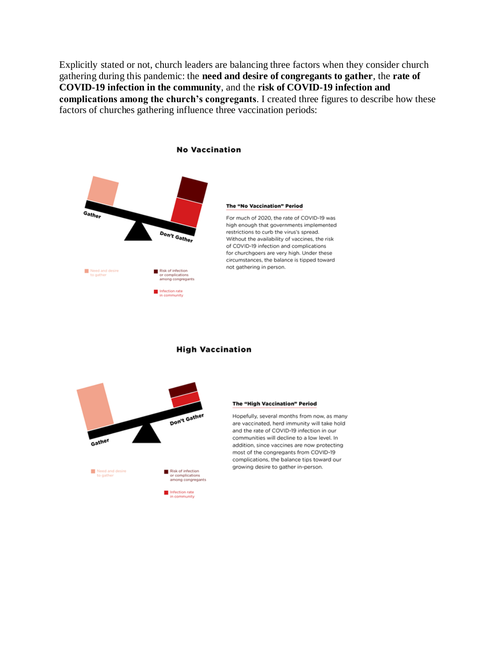Explicitly stated or not, church leaders are balancing three factors when they consider church gathering during this pandemic: the **need and desire of congregants to gather**, the **rate of COVID-19 infection in the community**, and the **risk of COVID-19 infection and complications among the church's congregants**. I created three figures to describe how these factors of churches gathering influence three vaccination periods:



high enough that governments implemented restrictions to curb the virus's spread. Without the availability of vaccines, the risk of COVID-19 infection and complications for churchgoers are very high. Under these circumstances, the balance is tipped toward



#### **High Vaccination**

#### The "High Vaccination" Period

Hopefully, several months from now, as many are vaccinated, herd immunity will take hold and the rate of COVID-19 infection in our communities will decline to a low level. In addition, since vaccines are now protecting most of the congregants from COVID-19 complications, the balance tips toward our growing desire to gather in-person.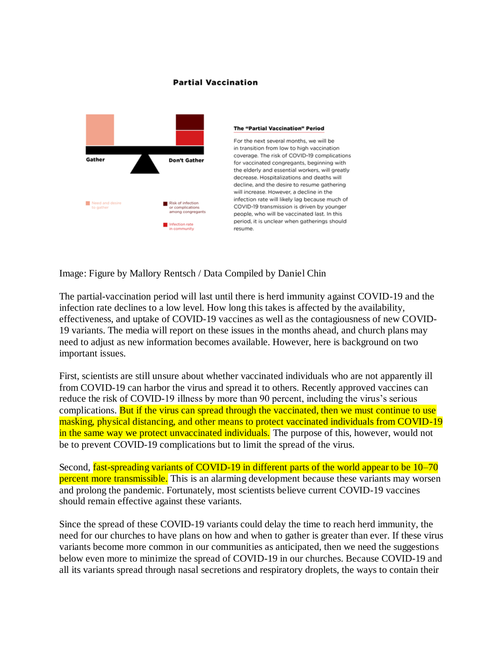#### **Partial Vaccination**



#### **The "Partial Vaccination" Period**

For the next several months, we will be in transition from low to high vaccination coverage. The risk of COVID-19 complications for vaccinated congregants, beginning with the elderly and essential workers, will greatly decrease. Hospitalizations and deaths will decline, and the desire to resume gathering will increase. However, a decline in the infection rate will likely lag because much of COVID-19 transmission is driven by younger people, who will be vaccinated last. In this period, it is unclear when gatherings should

Image: Figure by Mallory Rentsch / Data Compiled by Daniel Chin

The partial-vaccination period will last until there is herd immunity against COVID-19 and the infection rate declines to a low level. How long this takes is affected by the availability, effectiveness, and uptake of COVID-19 vaccines as well as the contagiousness of new COVID-19 variants. The media will report on these issues in the months ahead, and church plans may need to adjust as new information becomes available. However, here is background on two important issues.

First, scientists are still unsure about whether vaccinated individuals who are not apparently ill from COVID-19 can harbor the virus and spread it to others. Recently approved vaccines can reduce the risk of COVID-19 illness by more than 90 percent, including the virus's serious complications. But if the virus can spread through the vaccinated, then we must continue to use masking, physical distancing, and other means to protect vaccinated individuals from COVID-19 in the same way we protect unvaccinated individuals. The purpose of this, however, would not be to prevent COVID-19 complications but to limit the spread of the virus.

Second, fast-spreading variants of COVID-19 in different parts of the world appear to be 10–70 percent more transmissible. This is an alarming development because these variants may worsen and prolong the pandemic. Fortunately, most scientists believe current COVID-19 vaccines should remain effective against these variants.

Since the spread of these COVID-19 variants could delay the time to reach herd immunity, the need for our churches to have plans on how and when to gather is greater than ever. If these virus variants become more common in our communities as anticipated, then we need the suggestions below even more to minimize the spread of COVID-19 in our churches. Because COVID-19 and all its variants spread through nasal secretions and respiratory droplets, the ways to contain their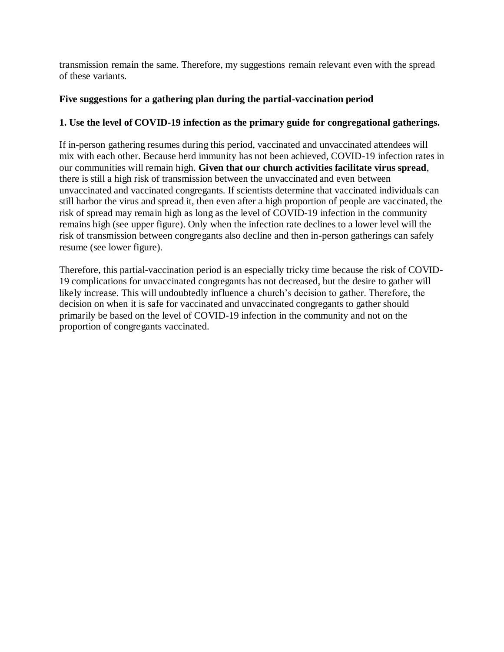transmission remain the same. Therefore, my suggestions remain relevant even with the spread of these variants.

# **Five suggestions for a gathering plan during the partial-vaccination period**

# **1. Use the level of COVID-19 infection as the primary guide for congregational gatherings.**

If in-person gathering resumes during this period, vaccinated and unvaccinated attendees will mix with each other. Because herd immunity has not been achieved, COVID-19 infection rates in our communities will remain high. **Given that our church activities facilitate virus spread**, there is still a high risk of transmission between the unvaccinated and even between unvaccinated and vaccinated congregants. If scientists determine that vaccinated individuals can still harbor the virus and spread it, then even after a high proportion of people are vaccinated, the risk of spread may remain high as long as the level of COVID-19 infection in the community remains high (see upper figure). Only when the infection rate declines to a lower level will the risk of transmission between congregants also decline and then in-person gatherings can safely resume (see lower figure).

Therefore, this partial-vaccination period is an especially tricky time because the risk of COVID-19 complications for unvaccinated congregants has not decreased, but the desire to gather will likely increase. This will undoubtedly influence a church's decision to gather. Therefore, the decision on when it is safe for vaccinated and unvaccinated congregants to gather should primarily be based on the level of COVID-19 infection in the community and not on the proportion of congregants vaccinated.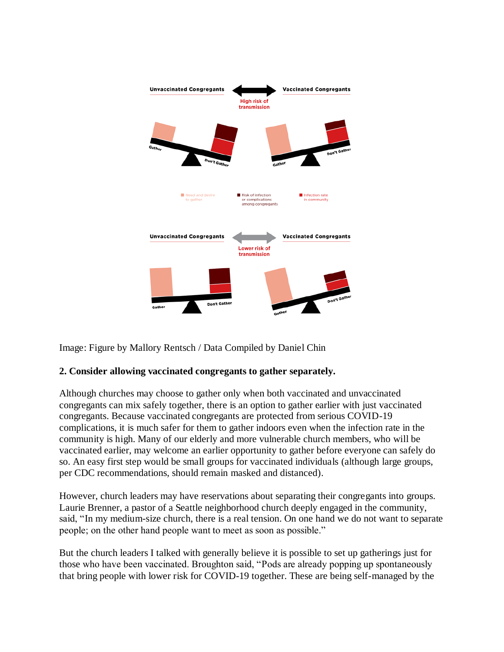

Image: Figure by Mallory Rentsch / Data Compiled by Daniel Chin

## **2. Consider allowing vaccinated congregants to gather separately.**

Although churches may choose to gather only when both vaccinated and unvaccinated congregants can mix safely together, there is an option to gather earlier with just vaccinated congregants. Because vaccinated congregants are protected from serious COVID-19 complications, it is much safer for them to gather indoors even when the infection rate in the community is high. Many of our elderly and more vulnerable church members, who will be vaccinated earlier, may welcome an earlier opportunity to gather before everyone can safely do so. An easy first step would be small groups for vaccinated individuals (although large groups, per CDC recommendations, should remain masked and distanced).

However, church leaders may have reservations about separating their congregants into groups. Laurie Brenner, a pastor of a Seattle neighborhood church deeply engaged in the community, said, "In my medium-size church, there is a real tension. On one hand we do not want to separate people; on the other hand people want to meet as soon as possible."

But the church leaders I talked with generally believe it is possible to set up gatherings just for those who have been vaccinated. Broughton said, "Pods are already popping up spontaneously that bring people with lower risk for COVID-19 together. These are being self-managed by the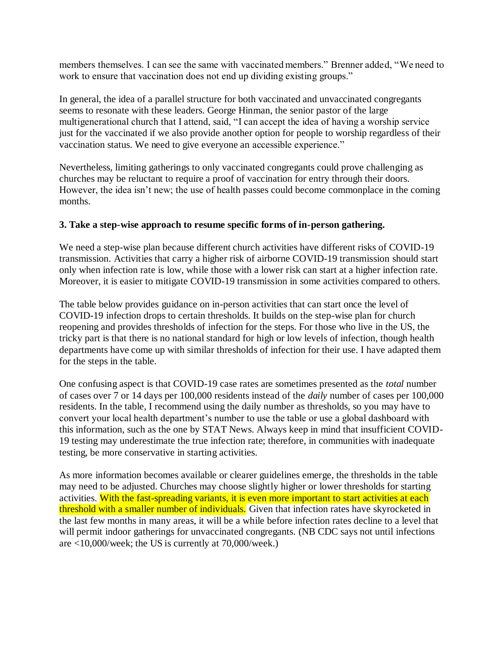members themselves. I can see the same with vaccinated members." Brenner added, "We need to work to ensure that vaccination does not end up dividing existing groups."

In general, the idea of a parallel structure for both vaccinated and unvaccinated congregants seems to resonate with these leaders. George Hinman, the senior pastor of the large multigenerational church that I attend, said, "I can accept the idea of having a worship service just for the vaccinated if we also provide another option for people to worship regardless of their vaccination status. We need to give everyone an accessible experience."

Nevertheless, limiting gatherings to only vaccinated congregants could prove challenging as churches may be reluctant to require a proof of vaccination for entry through their doors. However, the idea isn't new; the use of health passes could become commonplace in the coming months.

## **3. Take a step-wise approach to resume specific forms of in-person gathering.**

We need a step-wise plan because different church activities have different risks of COVID-19 transmission. Activities that carry a higher risk of airborne COVID-19 transmission should start only when infection rate is low, while those with a lower risk can start at a higher infection rate. Moreover, it is easier to mitigate COVID-19 transmission in some activities compared to others.

The table below provides guidance on in-person activities that can start once the level of COVID-19 infection drops to certain thresholds. It builds on the step-wise plan for church reopening and provides thresholds of infection for the steps. For those who live in the US, the tricky part is that there is no national standard for high or low levels of infection, though health departments have come up with similar thresholds of infection for their use. I have adapted them for the steps in the table.

One confusing aspect is that COVID-19 case rates are sometimes presented as the *total* number of cases over 7 or 14 days per 100,000 residents instead of the *daily* number of cases per 100,000 residents. In the table, I recommend using the daily number as thresholds, so you may have to convert your local health department's number to use the table or use a global dashboard with this information, such as the one by STAT News. Always keep in mind that insufficient COVID-19 testing may underestimate the true infection rate; therefore, in communities with inadequate testing, be more conservative in starting activities.

As more information becomes available or clearer guidelines emerge, the thresholds in the table may need to be adjusted. Churches may choose slightly higher or lower thresholds for starting activities. With the fast-spreading variants, it is even more important to start activities at each threshold with a smaller number of individuals. Given that infection rates have skyrocketed in the last few months in many areas, it will be a while before infection rates decline to a level that will permit indoor gatherings for unvaccinated congregants. (NB CDC says not until infections are <10,000/week; the US is currently at 70,000/week.)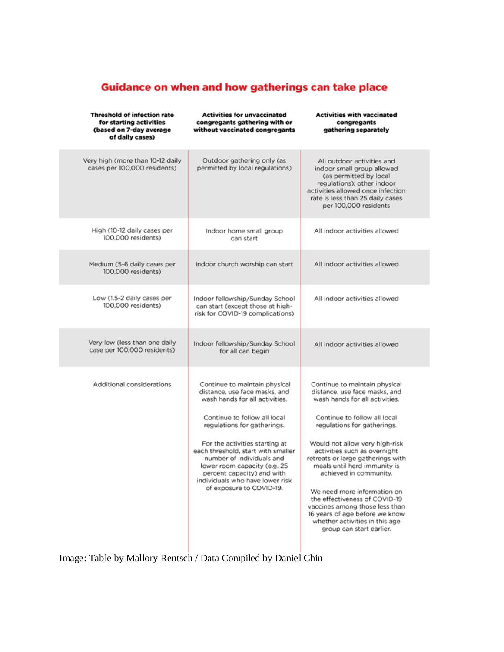# Guidance on when and how gatherings can take place

| <b>Threshold of infection rate</b><br>for starting activities<br>(based on 7-day average<br>of daily cases) | <b>Activities for unvaccinated</b><br>congregants gathering with or<br>without vaccinated congregants                                                                                                                                                                                                                                                                                             | <b>Activities with vaccinated</b><br>congregants<br>gathering separately                                                                                                                                                                                                                                                                                                                                                                                                                                                           |
|-------------------------------------------------------------------------------------------------------------|---------------------------------------------------------------------------------------------------------------------------------------------------------------------------------------------------------------------------------------------------------------------------------------------------------------------------------------------------------------------------------------------------|------------------------------------------------------------------------------------------------------------------------------------------------------------------------------------------------------------------------------------------------------------------------------------------------------------------------------------------------------------------------------------------------------------------------------------------------------------------------------------------------------------------------------------|
| Very high (more than 10-12 daily<br>cases per 100,000 residents)                                            | Outdoor gathering only (as<br>permitted by local regulations)                                                                                                                                                                                                                                                                                                                                     | All outdoor activities and<br>indoor small group allowed<br>(as permitted by local<br>regulations); other indoor<br>activities allowed once infection<br>rate is less than 25 daily cases<br>per 100,000 residents                                                                                                                                                                                                                                                                                                                 |
| High (10-12 daily cases per<br>100,000 residents)                                                           | Indoor home small group<br>can start                                                                                                                                                                                                                                                                                                                                                              | All indoor activities allowed                                                                                                                                                                                                                                                                                                                                                                                                                                                                                                      |
| Medium (5-6 daily cases per<br>100,000 residents)                                                           | Indoor church worship can start                                                                                                                                                                                                                                                                                                                                                                   | All indoor activities allowed                                                                                                                                                                                                                                                                                                                                                                                                                                                                                                      |
| Low (1.5-2 daily cases per<br>100,000 residents)                                                            | Indoor fellowship/Sunday School<br>can start (except those at high-<br>risk for COVID-19 complications)                                                                                                                                                                                                                                                                                           | All indoor activities allowed                                                                                                                                                                                                                                                                                                                                                                                                                                                                                                      |
| Very low (less than one daily<br>case per 100,000 residents)                                                | Indoor fellowship/Sunday School<br>for all can begin                                                                                                                                                                                                                                                                                                                                              | All indoor activities allowed                                                                                                                                                                                                                                                                                                                                                                                                                                                                                                      |
| Additional considerations                                                                                   | Continue to maintain physical<br>distance, use face masks, and<br>wash hands for all activities.<br>Continue to follow all local<br>regulations for gatherings.<br>For the activities starting at<br>each threshold, start with smaller<br>number of individuals and<br>lower room capacity (e.g. 25<br>percent capacity) and with<br>individuals who have lower risk<br>of exposure to COVID-19. | Continue to maintain physical<br>distance, use face masks, and<br>wash hands for all activities.<br>Continue to follow all local<br>regulations for gatherings.<br>Would not allow very high-risk<br>activities such as overnight<br>retreats or large gatherings with<br>meals until herd immunity is<br>achieved in community.<br>We need more information on<br>the effectiveness of COVID-19<br>vaccines among those less than<br>16 years of age before we know<br>whether activities in this age<br>group can start earlier. |

Image: Table by Mallory Rentsch / Data Compiled by Daniel Chin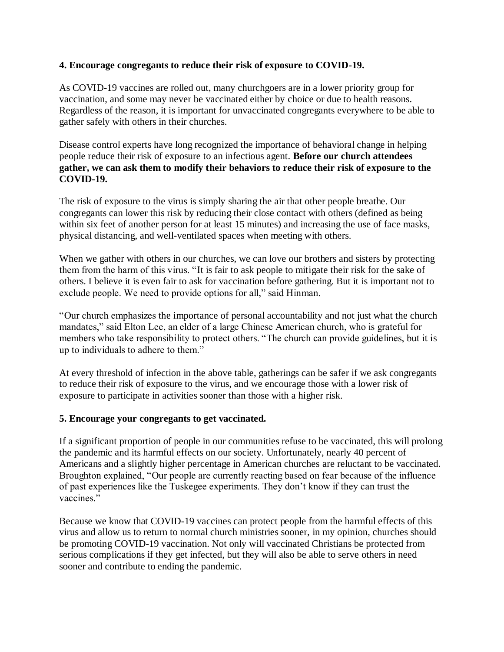#### **4. Encourage congregants to reduce their risk of exposure to COVID-19.**

As COVID-19 vaccines are rolled out, many churchgoers are in a lower priority group for vaccination, and some may never be vaccinated either by choice or due to health reasons. Regardless of the reason, it is important for unvaccinated congregants everywhere to be able to gather safely with others in their churches.

Disease control experts have long recognized the importance of behavioral change in helping people reduce their risk of exposure to an infectious agent. **Before our church attendees gather, we can ask them to modify their behaviors to reduce their risk of exposure to the COVID-19.**

The risk of exposure to the virus is simply sharing the air that other people breathe. Our congregants can lower this risk by reducing their close contact with others (defined as being within six feet of another person for at least 15 minutes) and increasing the use of face masks, physical distancing, and well-ventilated spaces when meeting with others.

When we gather with others in our churches, we can love our brothers and sisters by protecting them from the harm of this virus. "It is fair to ask people to mitigate their risk for the sake of others. I believe it is even fair to ask for vaccination before gathering. But it is important not to exclude people. We need to provide options for all," said Hinman.

"Our church emphasizes the importance of personal accountability and not just what the church mandates," said Elton Lee, an elder of a large Chinese American church, who is grateful for members who take responsibility to protect others. "The church can provide guidelines, but it is up to individuals to adhere to them."

At every threshold of infection in the above table, gatherings can be safer if we ask congregants to reduce their risk of exposure to the virus, and we encourage those with a lower risk of exposure to participate in activities sooner than those with a higher risk.

#### **5. Encourage your congregants to get vaccinated.**

If a significant proportion of people in our communities refuse to be vaccinated, this will prolong the pandemic and its harmful effects on our society. Unfortunately, nearly 40 percent of Americans and a slightly higher percentage in American churches are reluctant to be vaccinated. Broughton explained, "Our people are currently reacting based on fear because of the influence of past experiences like the Tuskegee experiments. They don't know if they can trust the vaccines."

Because we know that COVID-19 vaccines can protect people from the harmful effects of this virus and allow us to return to normal church ministries sooner, in my opinion, churches should be promoting COVID-19 vaccination. Not only will vaccinated Christians be protected from serious complications if they get infected, but they will also be able to serve others in need sooner and contribute to ending the pandemic.